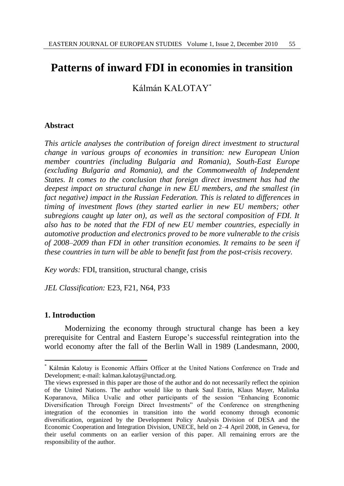# **Patterns of inward FDI in economies in transition**

Kálmán KALOTAY\*

## **Abstract**

*This article analyses the contribution of foreign direct investment to structural change in various groups of economies in transition: new European Union member countries (including Bulgaria and Romania), South-East Europe (excluding Bulgaria and Romania), and the Commonwealth of Independent States. It comes to the conclusion that foreign direct investment has had the deepest impact on structural change in new EU members, and the smallest (in fact negative) impact in the Russian Federation. This is related to differences in timing of investment flows (they started earlier in new EU members; other subregions caught up later on), as well as the sectoral composition of FDI. It also has to be noted that the FDI of new EU member countries, especially in automotive production and electronics proved to be more vulnerable to the crisis of 2008–2009 than FDI in other transition economies. It remains to be seen if these countries in turn will be able to benefit fast from the post-crisis recovery.*

*Key words:* FDI, transition, structural change, crisis

*JEL Classification:* E23, F21, N64, P33

## **1. Introduction**

 $\overline{a}$ 

Modernizing the economy through structural change has been a key prerequisite for Central and Eastern Europe"s successful reintegration into the world economy after the fall of the Berlin Wall in 1989 (Landesmann, 2000,

Kálmán Kalotay is Economic Affairs Officer at the United Nations Conference on Trade and Development; e-mail: kalman.kalotay@unctad.org.

The views expressed in this paper are those of the author and do not necessarily reflect the opinion of the United Nations. The author would like to thank Saul Estrin, Klaus Mayer, Malinka Koparanova, Milica Uvalic and other participants of the session "Enhancing Economic Diversification Through Foreign Direct Investments" of the Conference on strengthening integration of the economies in transition into the world economy through economic diversification, organized by the Development Policy Analysis Division of DESA and the Economic Cooperation and Integration Division, UNECE, held on 2–4 April 2008, in Geneva, for their useful comments on an earlier version of this paper. All remaining errors are the responsibility of the author.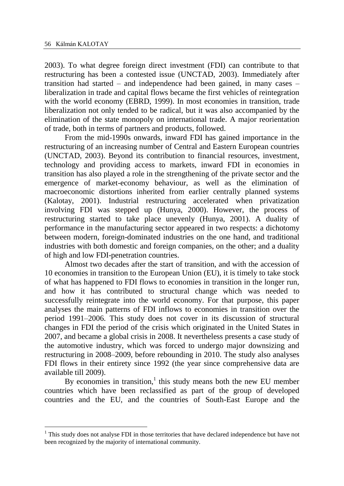$\overline{a}$ 

2003). To what degree foreign direct investment (FDI) can contribute to that restructuring has been a contested issue (UNCTAD, 2003). Immediately after transition had started – and independence had been gained, in many cases – liberalization in trade and capital flows became the first vehicles of reintegration with the world economy (EBRD, 1999). In most economies in transition, trade liberalization not only tended to be radical, but it was also accompanied by the elimination of the state monopoly on international trade. A major reorientation of trade, both in terms of partners and products, followed.

From the mid-1990s onwards, inward FDI has gained importance in the restructuring of an increasing number of Central and Eastern European countries (UNCTAD, 2003). Beyond its contribution to financial resources, investment, technology and providing access to markets, inward FDI in economies in transition has also played a role in the strengthening of the private sector and the emergence of market-economy behaviour, as well as the elimination of macroeconomic distortions inherited from earlier centrally planned systems (Kalotay, 2001). Industrial restructuring accelerated when privatization involving FDI was stepped up (Hunya, 2000). However, the process of restructuring started to take place unevenly (Hunya, 2001). A duality of performance in the manufacturing sector appeared in two respects: a dichotomy between modern, foreign-dominated industries on the one hand, and traditional industries with both domestic and foreign companies, on the other; and a duality of high and low FDI-penetration countries.

Almost two decades after the start of transition, and with the accession of 10 economies in transition to the European Union (EU), it is timely to take stock of what has happened to FDI flows to economies in transition in the longer run, and how it has contributed to structural change which was needed to successfully reintegrate into the world economy. For that purpose, this paper analyses the main patterns of FDI inflows to economies in transition over the period 1991–2006. This study does not cover in its discussion of structural changes in FDI the period of the crisis which originated in the United States in 2007, and became a global crisis in 2008. It nevertheless presents a case study of the automotive industry, which was forced to undergo major downsizing and restructuring in 2008–2009, before rebounding in 2010. The study also analyses FDI flows in their entirety since 1992 (the year since comprehensive data are available till 2009).

By economies in transition, $<sup>1</sup>$  this study means both the new EU member</sup> countries which have been reclassified as part of the group of developed countries and the EU, and the countries of South-East Europe and the

 $<sup>1</sup>$  This study does not analyse FDI in those territories that have declared independence but have not</sup> been recognized by the majority of international community.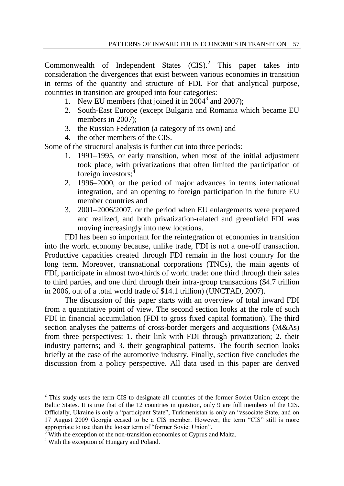Commonwealth of Independent States  $(CIS)^2$  This paper takes into consideration the divergences that exist between various economies in transition in terms of the quantity and structure of FDI. For that analytical purpose, countries in transition are grouped into four categories:

- 1. New EU members (that joined it in  $2004<sup>3</sup>$  and  $2007$ );
- 2. South-East Europe (except Bulgaria and Romania which became EU members in 2007):
- 3. the Russian Federation (a category of its own) and
- 4. the other members of the CIS.

Some of the structural analysis is further cut into three periods:

- 1. 1991–1995, or early transition, when most of the initial adjustment took place, with privatizations that often limited the participation of foreign investors:<sup>4</sup>
- 2. 1996–2000, or the period of major advances in terms international integration, and an opening to foreign participation in the future EU member countries and
- 3. 2001–2006/2007, or the period when EU enlargements were prepared and realized, and both privatization-related and greenfield FDI was moving increasingly into new locations.

FDI has been so important for the reintegration of economies in transition into the world economy because, unlike trade, FDI is not a one-off transaction. Productive capacities created through FDI remain in the host country for the long term. Moreover, transnational corporations (TNCs), the main agents of FDI, participate in almost two-thirds of world trade: one third through their sales to third parties, and one third through their intra-group transactions (\$4.7 trillion in 2006, out of a total world trade of \$14.1 trillion) (UNCTAD, 2007).

The discussion of this paper starts with an overview of total inward FDI from a quantitative point of view. The second section looks at the role of such FDI in financial accumulation (FDI to gross fixed capital formation). The third section analyses the patterns of cross-border mergers and acquisitions (M&As) from three perspectives: 1. their link with FDI through privatization; 2. their industry patterns; and 3. their geographical patterns. The fourth section looks briefly at the case of the automotive industry. Finally, section five concludes the discussion from a policy perspective. All data used in this paper are derived

 $\overline{a}$ 

<sup>&</sup>lt;sup>2</sup> This study uses the term CIS to designate all countries of the former Soviet Union except the Baltic States. It is true that of the 12 countries in question, only 9 are full members of the CIS. Officially, Ukraine is only a "participant State", Turkmenistan is only an "associate State, and on 17 August 2009 Georgia ceased to be a CIS member. However, the term "CIS" still is more appropriate to use than the looser term of "former Soviet Union".

With the exception of the non-transition economies of Cyprus and Malta.

<sup>4</sup> With the exception of Hungary and Poland.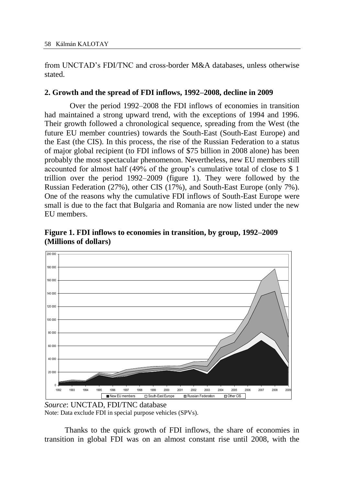from UNCTAD"s FDI/TNC and cross-border M&A databases, unless otherwise stated.

## **2. Growth and the spread of FDI inflows, 1992–2008, decline in 2009**

Over the period 1992–2008 the FDI inflows of economies in transition had maintained a strong upward trend, with the exceptions of 1994 and 1996. Their growth followed a chronological sequence, spreading from the West (the future EU member countries) towards the South-East (South-East Europe) and the East (the CIS). In this process, the rise of the Russian Federation to a status of major global recipient (to FDI inflows of \$75 billion in 2008 alone) has been probably the most spectacular phenomenon. Nevertheless, new EU members still accounted for almost half (49% of the group"s cumulative total of close to \$ 1 trillion over the period 1992–2009 (figure 1). They were followed by the Russian Federation (27%), other CIS (17%), and South-East Europe (only 7%). One of the reasons why the cumulative FDI inflows of South-East Europe were small is due to the fact that Bulgaria and Romania are now listed under the new EU members.

**Figure 1. FDI inflows to economies in transition, by group, 1992–2009 (Millions of dollars)**



*Source*: UNCTAD, FDI/TNC database Note: Data exclude FDI in special purpose vehicles (SPVs).

Thanks to the quick growth of FDI inflows, the share of economies in transition in global FDI was on an almost constant rise until 2008, with the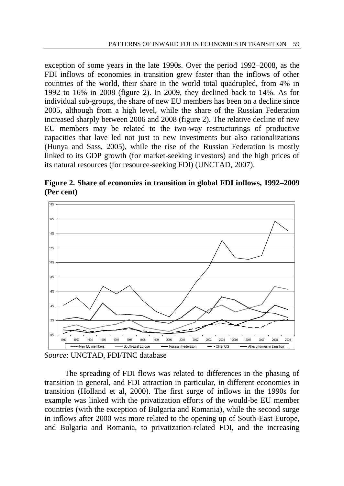exception of some years in the late 1990s. Over the period 1992–2008, as the FDI inflows of economies in transition grew faster than the inflows of other countries of the world, their share in the world total quadrupled, from 4% in 1992 to 16% in 2008 (figure 2). In 2009, they declined back to 14%. As for individual sub-groups, the share of new EU members has been on a decline since 2005, although from a high level, while the share of the Russian Federation increased sharply between 2006 and 2008 (figure 2). The relative decline of new EU members may be related to the two-way restructurings of productive capacities that lave led not just to new investments but also rationalizations (Hunya and Sass, 2005), while the rise of the Russian Federation is mostly linked to its GDP growth (for market-seeking investors) and the high prices of its natural resources (for resource-seeking FDI) (UNCTAD, 2007).

**Figure 2. Share of economies in transition in global FDI inflows, 1992–2009 (Per cent)**



*Source*: UNCTAD, FDI/TNC database

The spreading of FDI flows was related to differences in the phasing of transition in general, and FDI attraction in particular, in different economies in transition (Holland et al, 2000). The first surge of inflows in the 1990s for example was linked with the privatization efforts of the would-be EU member countries (with the exception of Bulgaria and Romania), while the second surge in inflows after 2000 was more related to the opening up of South-East Europe, and Bulgaria and Romania, to privatization-related FDI, and the increasing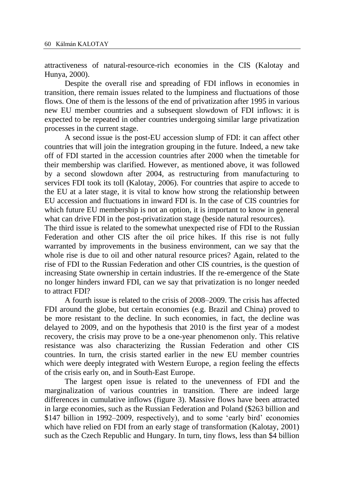attractiveness of natural-resource-rich economies in the CIS (Kalotay and Hunya, 2000).

Despite the overall rise and spreading of FDI inflows in economies in transition, there remain issues related to the lumpiness and fluctuations of those flows. One of them is the lessons of the end of privatization after 1995 in various new EU member countries and a subsequent slowdown of FDI inflows: it is expected to be repeated in other countries undergoing similar large privatization processes in the current stage.

A second issue is the post-EU accession slump of FDI: it can affect other countries that will join the integration grouping in the future. Indeed, a new take off of FDI started in the accession countries after 2000 when the timetable for their membership was clarified. However, as mentioned above, it was followed by a second slowdown after 2004, as restructuring from manufacturing to services FDI took its toll (Kalotay, 2006). For countries that aspire to accede to the EU at a later stage, it is vital to know how strong the relationship between EU accession and fluctuations in inward FDI is. In the case of CIS countries for which future EU membership is not an option, it is important to know in general what can drive FDI in the post-privatization stage (beside natural resources).

The third issue is related to the somewhat unexpected rise of FDI to the Russian Federation and other CIS after the oil price hikes. If this rise is not fully warranted by improvements in the business environment, can we say that the whole rise is due to oil and other natural resource prices? Again, related to the rise of FDI to the Russian Federation and other CIS countries, is the question of increasing State ownership in certain industries. If the re-emergence of the State no longer hinders inward FDI, can we say that privatization is no longer needed to attract FDI?

A fourth issue is related to the crisis of 2008–2009. The crisis has affected FDI around the globe, but certain economies (e.g. Brazil and China) proved to be more resistant to the decline. In such economies, in fact, the decline was delayed to 2009, and on the hypothesis that 2010 is the first year of a modest recovery, the crisis may prove to be a one-year phenomenon only. This relative resistance was also characterizing the Russian Federation and other CIS countries. In turn, the crisis started earlier in the new EU member countries which were deeply integrated with Western Europe, a region feeling the effects of the crisis early on, and in South-East Europe.

The largest open issue is related to the unevenness of FDI and the marginalization of various countries in transition. There are indeed large differences in cumulative inflows (figure 3). Massive flows have been attracted in large economies, such as the Russian Federation and Poland (\$263 billion and \$147 billion in 1992–2009, respectively), and to some "early bird" economies which have relied on FDI from an early stage of transformation (Kalotay, 2001) such as the Czech Republic and Hungary. In turn, tiny flows, less than \$4 billion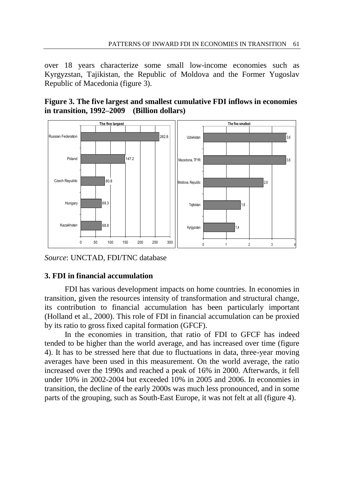over 18 years characterize some small low-income economies such as Kyrgyzstan, Tajikistan, the Republic of Moldova and the Former Yugoslav Republic of Macedonia (figure 3).

**Figure 3. The five largest and smallest cumulative FDI inflows in economies in transition, 1992–2009 (Billion dollars)** 



*Source*: UNCTAD, FDI/TNC database

# **3. FDI in financial accumulation**

FDI has various development impacts on home countries. In economies in transition, given the resources intensity of transformation and structural change, its contribution to financial accumulation has been particularly important (Holland et al., 2000). This role of FDI in financial accumulation can be proxied by its ratio to gross fixed capital formation (GFCF).

In the economies in transition, that ratio of FDI to GFCF has indeed tended to be higher than the world average, and has increased over time (figure 4). It has to be stressed here that due to fluctuations in data, three-year moving averages have been used in this measurement. On the world average, the ratio increased over the 1990s and reached a peak of 16% in 2000. Afterwards, it fell under 10% in 2002-2004 but exceeded 10% in 2005 and 2006. In economies in transition, the decline of the early 2000s was much less pronounced, and in some parts of the grouping, such as South-East Europe, it was not felt at all (figure 4).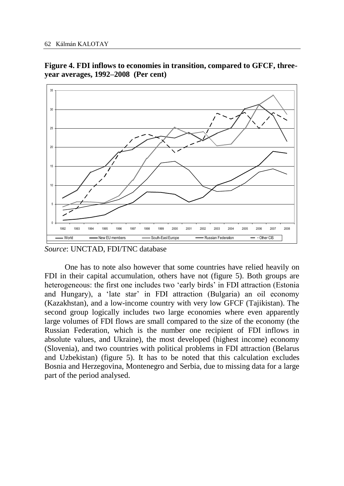**Figure 4. FDI inflows to economies in transition, compared to GFCF, threeyear averages, 1992–2008 (Per cent)**



*Source*: UNCTAD, FDI/TNC database

One has to note also however that some countries have relied heavily on FDI in their capital accumulation, others have not (figure 5). Both groups are heterogeneous: the first one includes two 'early birds' in FDI attraction (Estonia and Hungary), a "late star" in FDI attraction (Bulgaria) an oil economy (Kazakhstan), and a low-income country with very low GFCF (Tajikistan). The second group logically includes two large economies where even apparently large volumes of FDI flows are small compared to the size of the economy (the Russian Federation, which is the number one recipient of FDI inflows in absolute values, and Ukraine), the most developed (highest income) economy (Slovenia), and two countries with political problems in FDI attraction (Belarus and Uzbekistan) (figure 5). It has to be noted that this calculation excludes Bosnia and Herzegovina, Montenegro and Serbia, due to missing data for a large part of the period analysed.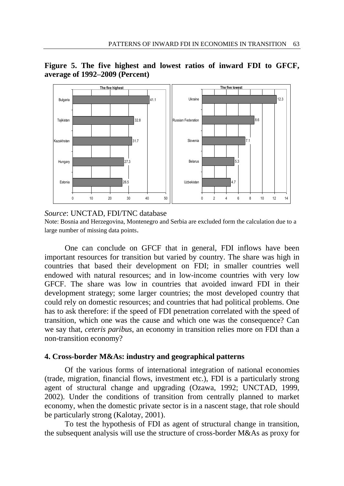

**Figure 5. The five highest and lowest ratios of inward FDI to GFCF, average of 1992–2009 (Percent)**

*Source*: UNCTAD, FDI/TNC database

Note: Bosnia and Herzegovina, Montenegro and Serbia are excluded form the calculation due to a large number of missing data points.

One can conclude on GFCF that in general, FDI inflows have been important resources for transition but varied by country. The share was high in countries that based their development on FDI; in smaller countries well endowed with natural resources; and in low-income countries with very low GFCF. The share was low in countries that avoided inward FDI in their development strategy; some larger countries; the most developed country that could rely on domestic resources; and countries that had political problems. One has to ask therefore: if the speed of FDI penetration correlated with the speed of transition, which one was the cause and which one was the consequence? Can we say that, *ceteris paribus*, an economy in transition relies more on FDI than a non-transition economy?

#### **4. Cross-border M&As: industry and geographical patterns**

Of the various forms of international integration of national economies (trade, migration, financial flows, investment etc.), FDI is a particularly strong agent of structural change and upgrading (Ozawa, 1992; UNCTAD, 1999, 2002). Under the conditions of transition from centrally planned to market economy, when the domestic private sector is in a nascent stage, that role should be particularly strong (Kalotay, 2001).

To test the hypothesis of FDI as agent of structural change in transition, the subsequent analysis will use the structure of cross-border M&As as proxy for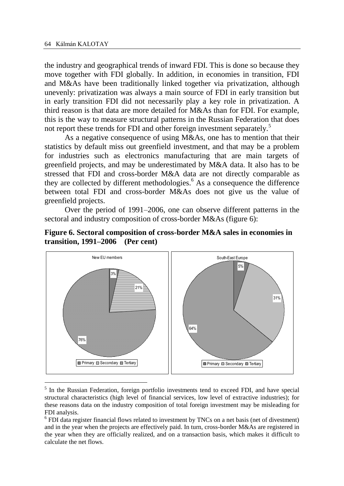$\overline{a}$ 

the industry and geographical trends of inward FDI. This is done so because they move together with FDI globally. In addition, in economies in transition, FDI and M&As have been traditionally linked together via privatization, although unevenly: privatization was always a main source of FDI in early transition but in early transition FDI did not necessarily play a key role in privatization. A third reason is that data are more detailed for M&As than for FDI. For example, this is the way to measure structural patterns in the Russian Federation that does not report these trends for FDI and other foreign investment separately.<sup>5</sup>

As a negative consequence of using M&As, one has to mention that their statistics by default miss out greenfield investment, and that may be a problem for industries such as electronics manufacturing that are main targets of greenfield projects, and may be underestimated by M&A data. It also has to be stressed that FDI and cross-border M&A data are not directly comparable as they are collected by different methodologies.<sup>6</sup> As a consequence the difference between total FDI and cross-border M&As does not give us the value of greenfield projects.

Over the period of 1991–2006, one can observe different patterns in the sectoral and industry composition of cross-border M&As (figure 6):





<sup>&</sup>lt;sup>5</sup> In the Russian Federation, foreign portfolio investments tend to exceed FDI, and have special structural characteristics (high level of financial services, low level of extractive industries); for these reasons data on the industry composition of total foreign investment may be misleading for FDI analysis.

 $6$  FDI data register financial flows related to investment by TNCs on a net basis (net of divestment) and in the year when the projects are effectively paid. In turn, cross-border M&As are registered in the year when they are officially realized, and on a transaction basis, which makes it difficult to calculate the net flows.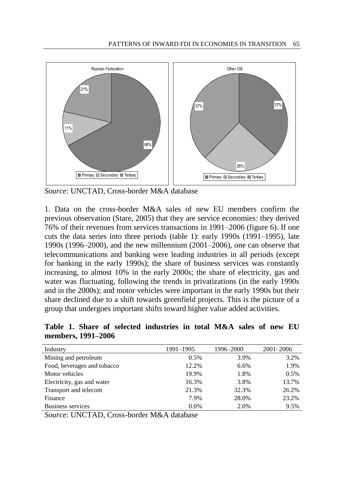

*Source*: UNCTAD, Cross-border M&A database

1. Data on the cross-border M&A sales of new EU members confirm the previous observation (Stare, 2005) that they are service economies: they derived 76% of their revenues from services transactions in 1991–2006 (figure 6). If one cuts the data series into three periods (table 1): early 1990s (1991–1995), late 1990s (1996–2000), and the new millennium (2001–2006), one can observe that telecommunications and banking were leading industries in all periods (except for banking in the early 1990s); the share of business services was constantly increasing, to almost 10% in the early 2000s; the share of electricity, gas and water was fluctuating, following the trends in privatizations (in the early 1990s and in the 2000s); and motor vehicles were important in the early 1990s but their share declined due to a shift towards greenfield projects. This is the picture of a group that undergoes important shifts toward higher value added activities.

**Table 1. Share of selected industries in total M&A sales of new EU members, 1991–2006**

| Industry                    | 1991-1995 | 1996-2000 | $2001 - 2006$ |
|-----------------------------|-----------|-----------|---------------|
| Mining and petroleum        | 0.5%      | 3.9%      | 3.2%          |
| Food, beverages and tobacco | 12.2%     | 6.6%      | 1.9%          |
| Motor vehicles              | 19.9%     | 1.8%      | 0.5%          |
| Electricity, gas and water  | 16.3%     | 3.8%      | 13.7%         |
| Transport and telecom       | 21.3%     | 32.3%     | 26.2%         |
| Finance                     | 7.9%      | 28.0%     | 23.2%         |
| Business services           | 0.0%      | 2.0%      | 9.5%          |

*Source*: UNCTAD, Cross-border M&A database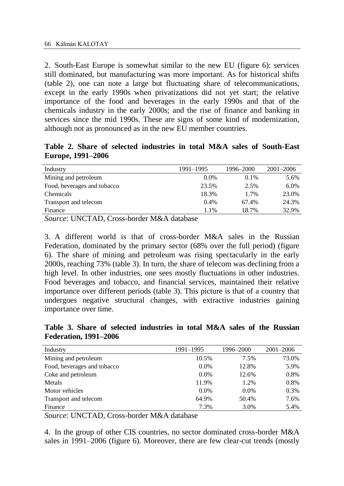2. South-East Europe is somewhat similar to the new EU (figure 6): services still dominated, but manufacturing was more important. As for historical shifts (table 2), one can note a large but fluctuating share of telecommunications, except in the early 1990s when privatizations did not yet start; the relative importance of the food and beverages in the early 1990s and that of the chemicals industry in the early 2000s; and the rise of finance and banking in services since the mid 1990s. These are signs of some kind of modernization, although not as pronounced as in the new EU member countries.

**Table 2. Share of selected industries in total M&A sales of South-East Europe, 1991–2006**

| Industry                    | 1991-1995 | 1996–2000 | $2001 - 2006$ |
|-----------------------------|-----------|-----------|---------------|
| Mining and petroleum        | $0.0\%$   | $0.1\%$   | 5.6%          |
| Food, beverages and tobacco | 23.5%     | 2.5%      | 6.0%          |
| Chemicals                   | 18.3%     | 1.7%      | 23.0%         |
| Transport and telecom       | 0.4%      | 67.4%     | 24.3%         |
| Finance                     | 1.1%      | 18.7%     | 32.9%         |
|                             |           |           |               |

*Source*: UNCTAD, Cross-border M&A database

3. A different world is that of cross-border M&A sales in the Russian Federation, dominated by the primary sector (68% over the full period) (figure 6). The share of mining and petroleum was rising spectacularly in the early 2000s, reaching 73% (table 3). In turn, the share of telecom was declining from a high level. In other industries, one sees mostly fluctuations in other industries. Food beverages and tobacco, and financial services, maintained their relative importance over different periods (table 3). This picture is that of a country that undergoes negative structural changes, with extractive industries gaining importance over time.

**Table 3. Share of selected industries in total M&A sales of the Russian Federation, 1991–2006**

| Industry                    | 1991-1995 | 1996-2000 | $2001 - 2006$ |
|-----------------------------|-----------|-----------|---------------|
| Mining and petroleum        | 10.5%     | 7.5%      | 73.0%         |
| Food, beverages and tobacco | $0.0\%$   | 12.8%     | 5.9%          |
| Coke and petroleum          | $0.0\%$   | 12.6%     | 0.8%          |
| Metals                      | 11.9%     | 1.2%      | 0.8%          |
| Motor vehicles              | $0.0\%$   | $0.0\%$   | 0.3%          |
| Transport and telecom       | 64.9%     | 50.4%     | 7.6%          |
| Finance                     | 7.3%      | 3.0%      | 5.4%          |

*Source*: UNCTAD, Cross-border M&A database

4. In the group of other CIS countries, no sector dominated cross-border M&A sales in 1991–2006 (figure 6). Moreover, there are few clear-cut trends (mostly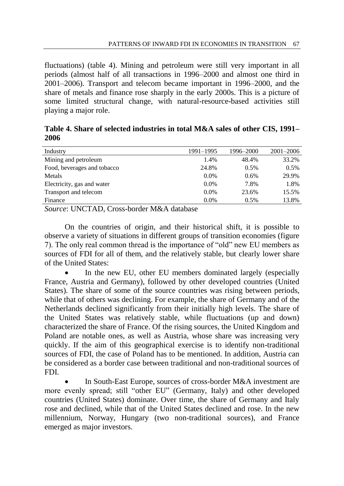fluctuations) (table 4). Mining and petroleum were still very important in all periods (almost half of all transactions in 1996–2000 and almost one third in 2001–2006). Transport and telecom became important in 1996–2000, and the share of metals and finance rose sharply in the early 2000s. This is a picture of some limited structural change, with natural-resource-based activities still playing a major role.

| Table 4. Share of selected industries in total M&A sales of other CIS, 1991– |  |  |
|------------------------------------------------------------------------------|--|--|
| 2006                                                                         |  |  |

| Industry                    | 1991-1995 | 1996-2000 | $2001 - 2006$ |
|-----------------------------|-----------|-----------|---------------|
| Mining and petroleum        | 1.4%      | 48.4%     | 33.2%         |
| Food, beverages and tobacco | 24.8%     | 0.5%      | 0.5%          |
| Metals                      | 0.0%      | $0.6\%$   | 29.9%         |
| Electricity, gas and water  | 0.0%      | 7.8%      | 1.8%          |
| Transport and telecom       | 0.0%      | 23.6%     | 15.5%         |
| Finance                     | 0.0%      | 0.5%      | 13.8%         |
|                             |           |           |               |

*Source*: UNCTAD, Cross-border M&A database

On the countries of origin, and their historical shift, it is possible to observe a variety of situations in different groups of transition economies (figure 7). The only real common thread is the importance of "old" new EU members as sources of FDI for all of them, and the relatively stable, but clearly lower share of the United States:

 In the new EU, other EU members dominated largely (especially France, Austria and Germany), followed by other developed countries (United States). The share of some of the source countries was rising between periods, while that of others was declining. For example, the share of Germany and of the Netherlands declined significantly from their initially high levels. The share of the United States was relatively stable, while fluctuations (up and down) characterized the share of France. Of the rising sources, the United Kingdom and Poland are notable ones, as well as Austria, whose share was increasing very quickly. If the aim of this geographical exercise is to identify non-traditional sources of FDI, the case of Poland has to be mentioned. In addition, Austria can be considered as a border case between traditional and non-traditional sources of FDI.

 In South-East Europe, sources of cross-border M&A investment are more evenly spread; still "other EU" (Germany, Italy) and other developed countries (United States) dominate. Over time, the share of Germany and Italy rose and declined, while that of the United States declined and rose. In the new millennium, Norway, Hungary (two non-traditional sources), and France emerged as major investors.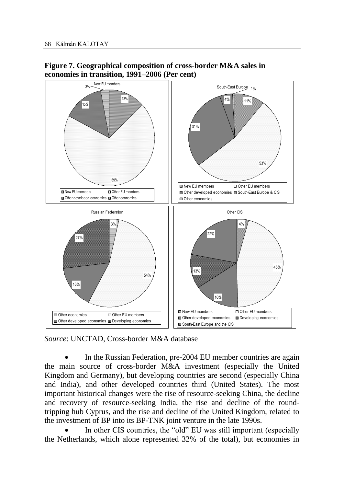

# **Figure 7. Geographical composition of cross-border M&A sales in economies in transition, 1991–2006 (Per cent)**

*Source*: UNCTAD, Cross-border M&A database

 In the Russian Federation, pre-2004 EU member countries are again the main source of cross-border M&A investment (especially the United Kingdom and Germany), but developing countries are second (especially China and India), and other developed countries third (United States). The most important historical changes were the rise of resource-seeking China, the decline and recovery of resource-seeking India, the rise and decline of the roundtripping hub Cyprus, and the rise and decline of the United Kingdom, related to the investment of BP into its BP-TNK joint venture in the late 1990s.

 In other CIS countries, the "old" EU was still important (especially the Netherlands, which alone represented 32% of the total), but economies in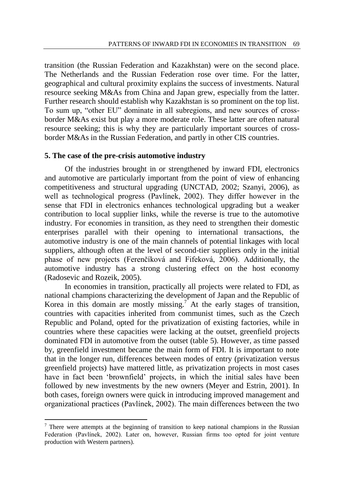transition (the Russian Federation and Kazakhstan) were on the second place. The Netherlands and the Russian Federation rose over time. For the latter, geographical and cultural proximity explains the success of investments. Natural resource seeking M&As from China and Japan grew, especially from the latter. Further research should establish why Kazakhstan is so prominent on the top list. To sum up, "other EU" dominate in all subregions, and new sources of crossborder M&As exist but play a more moderate role. These latter are often natural resource seeking; this is why they are particularly important sources of crossborder M&As in the Russian Federation, and partly in other CIS countries.

#### **5. The case of the pre-crisis automotive industry**

Of the industries brought in or strengthened by inward FDI, electronics and automotive are particularly important from the point of view of enhancing competitiveness and structural upgrading (UNCTAD, 2002; Szanyi, 2006), as well as technological progress (Pavlínek, 2002). They differ however in the sense that FDI in electronics enhances technological upgrading but a weaker contribution to local supplier links, while the reverse is true to the automotive industry. For economies in transition, as they need to strengthen their domestic enterprises parallel with their opening to international transactions, the automotive industry is one of the main channels of potential linkages with local suppliers, although often at the level of second-tier suppliers only in the initial phase of new projects (Ferenčíková and Fifeková, 2006). Additionally, the automotive industry has a strong clustering effect on the host economy (Radosevic and Rozeik, 2005).

In economies in transition, practically all projects were related to FDI, as national champions characterizing the development of Japan and the Republic of Korea in this domain are mostly missing.<sup>7</sup> At the early stages of transition, countries with capacities inherited from communist times, such as the Czech Republic and Poland, opted for the privatization of existing factories, while in countries where these capacities were lacking at the outset, greenfield projects dominated FDI in automotive from the outset (table 5). However, as time passed by, greenfield investment became the main form of FDI. It is important to note that in the longer run, differences between modes of entry (privatization versus greenfield projects) have mattered little, as privatization projects in most cases have in fact been "brownfield" projects, in which the initial sales have been followed by new investments by the new owners (Meyer and Estrin, 2001). In both cases, foreign owners were quick in introducing improved management and organizational practices (Pavlínek, 2002). The main differences between the two

 $\overline{a}$ 

<sup>&</sup>lt;sup>7</sup> There were attempts at the beginning of transition to keep national champions in the Russian Federation (Pavlínek, 2002). Later on, however, Russian firms too opted for joint venture production with Western partners).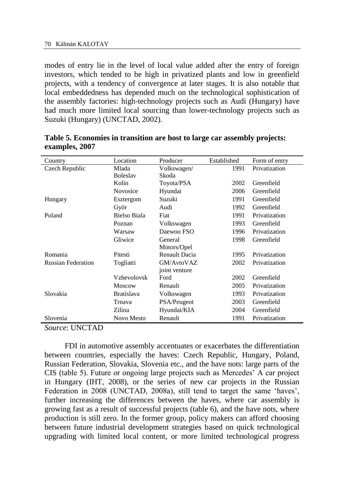modes of entry lie in the level of local value added after the entry of foreign investors, which tended to be high in privatized plants and low in greenfield projects, with a tendency of convergence at later stages. It is also notable that local embeddedness has depended much on the technological sophistication of the assembly factories: high-technology projects such as Audi (Hungary) have had much more limited local sourcing than lower-technology projects such as Suzuki (Hungary) (UNCTAD, 2002).

| Country                   | Location            | Producer      | Established | Form of entry |
|---------------------------|---------------------|---------------|-------------|---------------|
| Czech Republic            | Mlada               | Volkswagen/   | 1991        | Privatization |
|                           | <b>Boleslav</b>     | Skoda         |             |               |
|                           | Kolin               | Toyota/PSA    | 2002        | Greenfield    |
|                           | Novosice            | Hyundai       | 2006        | Greenfield    |
| Hungary                   | Esztergom           | Suzuki        | 1991        | Greenfield    |
|                           | Györ                | Audi          | 1992        | Greenfield    |
| Poland                    | <b>Bielso Biala</b> | Fiat          | 1991        | Privatization |
|                           | Poznan              | Volkswagen    | 1993        | Greenfield    |
|                           | Warsaw              | Daewoo FSO    | 1996        | Privatization |
|                           | Gliwice             | General       | 1998        | Greenfield    |
|                           |                     | Motors/Opel   |             |               |
| Romania                   | Pitesti             | Renault Dacia | 1995        | Privatization |
| <b>Russian Federation</b> | Togliatti           | GM/AvtoVAZ    | 2002        | Privatization |
|                           |                     | joint venture |             |               |
|                           | Vzhevolovsk         | Ford          | 2002        | Greenfield    |
|                           | <b>Moscow</b>       | Renault       | 2005        | Privatization |
| Slovakia                  | <b>Bratislava</b>   | Volkswagen    | 1993        | Privatization |
|                           | Trnava              | PSA/Peugeot   | 2003        | Greenfield    |
|                           | Zilina              | Hyundai/KIA   | 2004        | Greenfield    |
| Slovenia                  | Novo Mesto          | Renault       | 1991        | Privatization |

**Table 5. Economies in transition are host to large car assembly projects: examples, 2007**

*Source*: UNCTAD

FDI in automotive assembly accentuates or exacerbates the differentiation between countries, especially the haves: Czech Republic, Hungary, Poland, Russian Federation, Slovakia, Slovenia etc., and the have nots: large parts of the CIS (table 5). Future or ongoing large projects such as Mercedes" A car project in Hungary (IHT, 2008), or the series of new car projects in the Russian Federation in 2008 (UNCTAD, 2008a), still tend to target the same 'haves', further increasing the differences between the haves, where car assembly is growing fast as a result of successful projects (table 6), and the have nots, where production is still zero. In the former group, policy makers can afford choosing between future industrial development strategies based on quick technological upgrading with limited local content, or more limited technological progress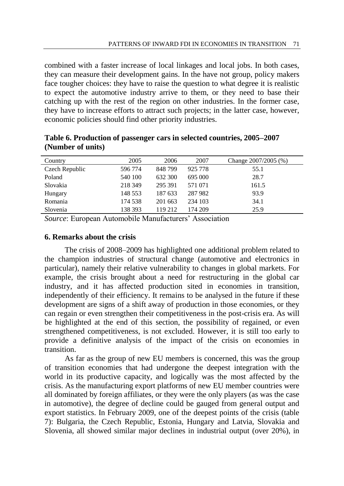combined with a faster increase of local linkages and local jobs. In both cases, they can measure their development gains. In the have not group, policy makers face tougher choices: they have to raise the question to what degree it is realistic to expect the automotive industry arrive to them, or they need to base their catching up with the rest of the region on other industries. In the former case, they have to increase efforts to attract such projects; in the latter case, however, economic policies should find other priority industries.

| Country        | 2005    | 2006    | 2007    | Change 2007/2005 (%) |
|----------------|---------|---------|---------|----------------------|
| Czech Republic | 596 774 | 848799  | 925 778 | 55.1                 |
| Poland         | 540 100 | 632 300 | 695 000 | 28.7                 |
| Slovakia       | 218 349 | 295 391 | 571 071 | 161.5                |
| Hungary        | 148 553 | 187 633 | 287 982 | 93.9                 |
| Romania        | 174 538 | 201 663 | 234 103 | 34.1                 |
| Slovenia       | 138 393 | 119 212 | 174 209 | 25.9                 |

**Table 6. Production of passenger cars in selected countries, 2005–2007 (Number of units)**

*Source*: European Automobile Manufacturers' Association

### **6. Remarks about the crisis**

The crisis of 2008–2009 has highlighted one additional problem related to the champion industries of structural change (automotive and electronics in particular), namely their relative vulnerability to changes in global markets. For example, the crisis brought about a need for restructuring in the global car industry, and it has affected production sited in economies in transition, independently of their efficiency. It remains to be analysed in the future if these development are signs of a shift away of production in those economies, or they can regain or even strengthen their competitiveness in the post-crisis era. As will be highlighted at the end of this section, the possibility of regained, or even strengthened competitiveness, is not excluded. However, it is still too early to provide a definitive analysis of the impact of the crisis on economies in transition.

As far as the group of new EU members is concerned, this was the group of transition economies that had undergone the deepest integration with the world in its productive capacity, and logically was the most affected by the crisis. As the manufacturing export platforms of new EU member countries were all dominated by foreign affiliates, or they were the only players (as was the case in automotive), the degree of decline could be gauged from general output and export statistics. In February 2009, one of the deepest points of the crisis (table 7): Bulgaria, the Czech Republic, Estonia, Hungary and Latvia, Slovakia and Slovenia, all showed similar major declines in industrial output (over 20%), in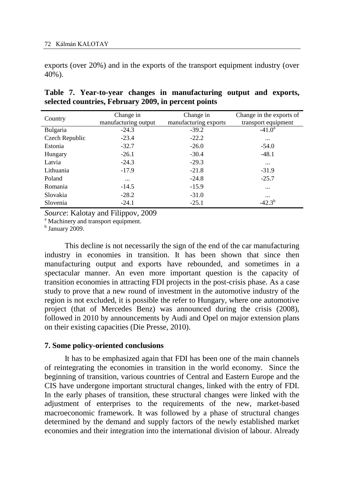exports (over 20%) and in the exports of the transport equipment industry (over 40%).

| Country        | Change in<br>manufacturing output | Change in<br>manufacturing exports | Change in the exports of<br>transport equipment |
|----------------|-----------------------------------|------------------------------------|-------------------------------------------------|
| Bulgaria       | $-24.3$                           | $-39.2$                            | $-41.0^a$                                       |
| Czech Republic | $-23.4$                           | $-22.2$                            | $\cdots$                                        |
| Estonia        | $-32.7$                           | $-26.0$                            | $-54.0$                                         |
| Hungary        | $-26.1$                           | $-30.4$                            | $-48.1$                                         |
| Latvia         | $-24.3$                           | $-29.3$                            | $\cdots$                                        |
| Lithuania      | $-17.9$                           | $-21.8$                            | $-31.9$                                         |
| Poland         | $\cdots$                          | $-24.8$                            | $-25.7$                                         |
| Romania        | $-14.5$                           | $-15.9$                            | $\cdots$                                        |
| Slovakia       | $-28.2$                           | $-31.0$                            | $\cdots$                                        |
| Slovenia       | $-24.1$                           | $-25.1$                            | $-42.3^{b}$                                     |

## **Table 7. Year-to-year changes in manufacturing output and exports, selected countries, February 2009, in percent points**

*Source*: Kalotay and Filippov, 2009

<sup>a</sup> Machinery and transport equipment.

<sup>b</sup> January 2009.

This decline is not necessarily the sign of the end of the car manufacturing industry in economies in transition. It has been shown that since then manufacturing output and exports have rebounded, and sometimes in a spectacular manner. An even more important question is the capacity of transition economies in attracting FDI projects in the post-crisis phase. As a case study to prove that a new round of investment in the automotive industry of the region is not excluded, it is possible the refer to Hungary, where one automotive project (that of Mercedes Benz) was announced during the crisis (2008), followed in 2010 by announcements by Audi and Opel on major extension plans on their existing capacities (Die Presse, 2010).

#### **7. Some policy-oriented conclusions**

It has to be emphasized again that FDI has been one of the main channels of reintegrating the economies in transition in the world economy. Since the beginning of transition, various countries of Central and Eastern Europe and the CIS have undergone important structural changes, linked with the entry of FDI. In the early phases of transition, these structural changes were linked with the adjustment of enterprises to the requirements of the new, market-based macroeconomic framework. It was followed by a phase of structural changes determined by the demand and supply factors of the newly established market economies and their integration into the international division of labour. Already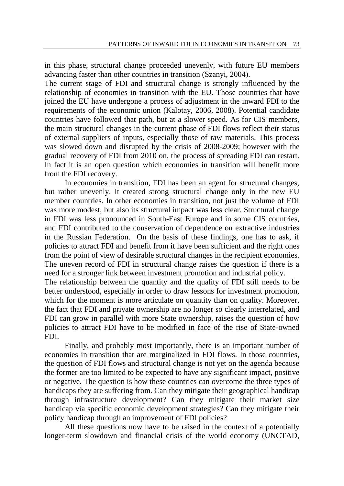in this phase, structural change proceeded unevenly, with future EU members advancing faster than other countries in transition (Szanyi, 2004).

The current stage of FDI and structural change is strongly influenced by the relationship of economies in transition with the EU. Those countries that have joined the EU have undergone a process of adjustment in the inward FDI to the requirements of the economic union (Kalotay, 2006, 2008). Potential candidate countries have followed that path, but at a slower speed. As for CIS members, the main structural changes in the current phase of FDI flows reflect their status of external suppliers of inputs, especially those of raw materials. This process was slowed down and disrupted by the crisis of 2008-2009; however with the gradual recovery of FDI from 2010 on, the process of spreading FDI can restart. In fact it is an open question which economies in transition will benefit more from the FDI recovery.

In economies in transition, FDI has been an agent for structural changes, but rather unevenly. It created strong structural change only in the new EU member countries. In other economies in transition, not just the volume of FDI was more modest, but also its structural impact was less clear. Structural change in FDI was less pronounced in South-East Europe and in some CIS countries, and FDI contributed to the conservation of dependence on extractive industries in the Russian Federation. On the basis of these findings, one has to ask, if policies to attract FDI and benefit from it have been sufficient and the right ones from the point of view of desirable structural changes in the recipient economies. The uneven record of FDI in structural change raises the question if there is a need for a stronger link between investment promotion and industrial policy. The relationship between the quantity and the quality of FDI still needs to be better understood, especially in order to draw lessons for investment promotion,

which for the moment is more articulate on quantity than on quality. Moreover, the fact that FDI and private ownership are no longer so clearly interrelated, and FDI can grow in parallel with more State ownership, raises the question of how policies to attract FDI have to be modified in face of the rise of State-owned FDI.

Finally, and probably most importantly, there is an important number of economies in transition that are marginalized in FDI flows. In those countries, the question of FDI flows and structural change is not yet on the agenda because the former are too limited to be expected to have any significant impact, positive or negative. The question is how these countries can overcome the three types of handicaps they are suffering from. Can they mitigate their geographical handicap through infrastructure development? Can they mitigate their market size handicap via specific economic development strategies? Can they mitigate their policy handicap through an improvement of FDI policies?

All these questions now have to be raised in the context of a potentially longer-term slowdown and financial crisis of the world economy (UNCTAD,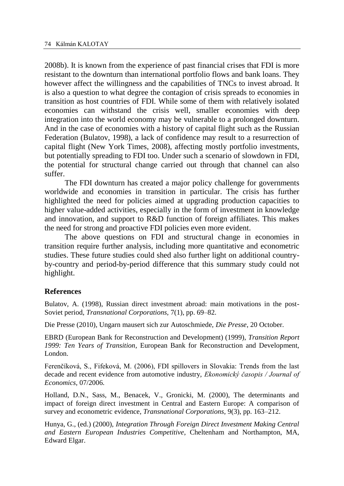2008b). It is known from the experience of past financial crises that FDI is more resistant to the downturn than international portfolio flows and bank loans. They however affect the willingness and the capabilities of TNCs to invest abroad. It is also a question to what degree the contagion of crisis spreads to economies in transition as host countries of FDI. While some of them with relatively isolated economies can withstand the crisis well, smaller economies with deep integration into the world economy may be vulnerable to a prolonged downturn. And in the case of economies with a history of capital flight such as the Russian Federation (Bulatov, 1998), a lack of confidence may result to a resurrection of capital flight (New York Times, 2008), affecting mostly portfolio investments, but potentially spreading to FDI too. Under such a scenario of slowdown in FDI, the potential for structural change carried out through that channel can also suffer.

The FDI downturn has created a major policy challenge for governments worldwide and economies in transition in particular. The crisis has further highlighted the need for policies aimed at upgrading production capacities to higher value-added activities, especially in the form of investment in knowledge and innovation, and support to R&D function of foreign affiliates. This makes the need for strong and proactive FDI policies even more evident.

The above questions on FDI and structural change in economies in transition require further analysis, including more quantitative and econometric studies. These future studies could shed also further light on additional countryby-country and period-by-period difference that this summary study could not highlight.

#### **References**

Bulatov, A. (1998), Russian direct investment abroad: main motivations in the post-Soviet period, *Transnational Corporations,* 7(1), pp. 69–82.

Die Presse (2010), Ungarn mausert sich zur Autoschmiede, *Die Presse*, 20 October.

EBRD (European Bank for Reconstruction and Development) (1999), *Transition Report 1999: Ten Years of Transition*, European Bank for Reconstruction and Development, London.

Ferenčíková, S., Fifeková, M. (2006), FDI spillovers in Slovakia: Trends from the last decade and recent evidence from automotive industry, *Ekonomický časopis / Journal of Economics,* 07/2006.

Holland, D.N., Sass, M., Benacek, V., Gronicki, M. (2000), The determinants and impact of foreign direct investment in Central and Eastern Europe: A comparison of survey and econometric evidence, *Transnational Corporations*, 9(3), pp. 163–212.

Hunya, G., (ed.) (2000), *Integration Through Foreign Direct Investment Making Central and Eastern European Industries Competitive*, Cheltenham and Northampton, MA, Edward Elgar.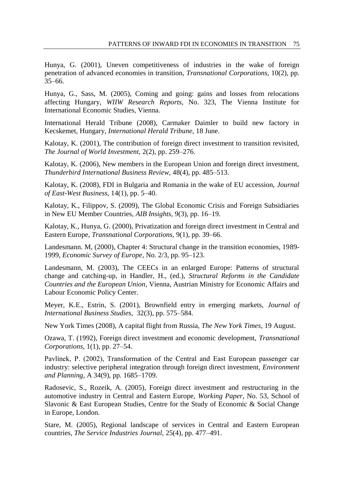Hunya, G. (2001), Uneven competitiveness of industries in the wake of foreign penetration of advanced economies in transition, *Transnational Corporations,* 10(2), pp. 35–66.

Hunya, G., Sass, M. (2005), Coming and going: gains and losses from relocations affecting Hungary, *WIIW Research Reports,* No. 323, The Vienna Institute for International Economic Studies, Vienna.

International Herald Tribune (2008), Carmaker Daimler to build new factory in Kecskemet, Hungary, *International Herald Tribune,* 18 June.

Kalotay, K. (2001), The contribution of foreign direct investment to transition revisited, *The Journal of World Investment,* 2(2), pp. 259–276.

Kalotay, K. (2006), New members in the European Union and foreign direct investment, *Thunderbird International Business Review,* 48(4), pp. 485–513.

Kalotay, K. (2008), FDI in Bulgaria and Romania in the wake of EU accession, *Journal of East-West Business,* 14(1), pp. 5–40.

Kalotay, K., Filippov, S. (2009), The Global Economic Crisis and Foreign Subsidiaries in New EU Member Countries, *AIB Insights,* 9(3), pp. 16–19.

Kalotay, K., Hunya, G. (2000), Privatization and foreign direct investment in Central and Eastern Europe, *Transnational Corporations,* 9(1), pp. 39–66.

Landesmann. M, (2000), Chapter 4: Structural change in the transition economies, 1989- 1999, *Economic Survey of Europe*, No. 2/3, pp. 95–123.

Landesmann, M. (2003), The CEECs in an enlarged Europe: Patterns of structural change and catching-up, in Handler, H., (ed.), *Structural Reforms in the Candidate Countries and the European Union*, Vienna, Austrian Ministry for Economic Affairs and Labour Economic Policy Center.

Meyer, K.E., Estrin, S. (2001), Brownfield entry in emerging markets, *Journal of International Business Studies,* 32(3), pp. 575–584.

New York Times (2008), A capital flight from Russia, *The New York Times*, 19 August.

Ozawa, T. (1992), Foreign direct investment and economic development, *Transnational Corporations,* 1(1), pp. 27–54.

Pavlínek, P. (2002), Transformation of the Central and East European passenger car industry: selective peripheral integration through foreign direct investment, *Environment and Planning,* A 34(9), pp. 1685–1709.

Radosevic, S., Rozeik, A. (2005), Foreign direct investment and restructuring in the automotive industry in Central and Eastern Europe, *Working Paper,* No. 53, School of Slavonic & East European Studies, Centre for the Study of Economic & Social Change in Europe, London.

Stare, M. (2005), Regional landscape of services in Central and Eastern European countries, *The Service Industries Journal,* 25(4), pp. 477–491.